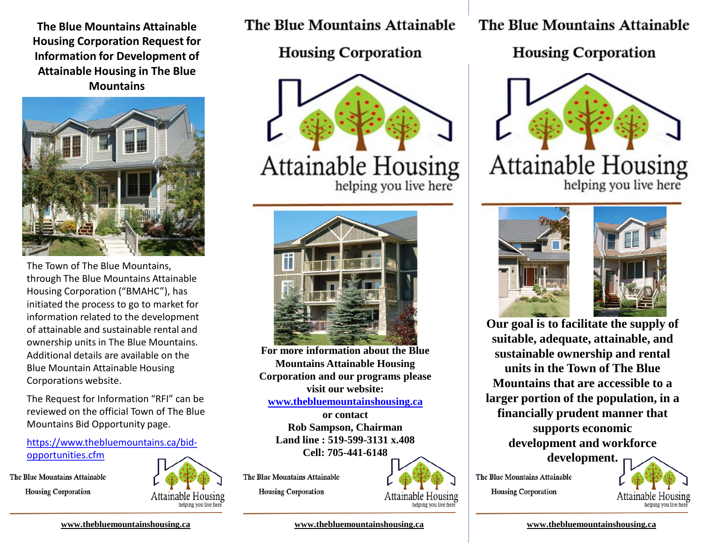**The Blue Mountains Attainable Housing Corporation Request for Information for Development of Attainable Housing in The Blue Mountains**



The Town of The Blue Mountains, through The Blue Mountains Attainable Housing Corporation ("BMAHC"), has initiated the process to go to market for information related to the development of attainable and sustainable rental and ownership units in The Blue Mountains. Additional details are available on the Blue Mountain Attainable Housing Corporations website.

The Request for Information "RFI" can be reviewed on the official Town of The Blue Mountains Bid Opportunity page.

[https://www.thebluemountains.ca/bid](https://www.thebluemountains.ca/bid-opportunities.cfm)opportunities.cfm

The Blue Mountains Attainable **Housing Corporation** 



**The Blue Mountains Attainable** 

**Housing Corporation** 



Attainable Housing



**For more information about the Blue Mountains Attainable Housing Corporation and our programs please visit our website:**

**[www.thebluemountainshousing.ca](http://www.thebluemountainshousing.ca/)**

**or contact Rob Sampson, Chairman Land line : 519-599-3131 x.408 Cell: 705-441-6148**

The Blue Mountains Attainable

**Housing Corporation** 



**[www.thebluemountainshousing.ca](http://www.thebluemountains/) [www.thebluemountainshousing.ca](http://www.thebluemountains/) [www.thebluemountainshousing.ca](http://www.thebluemountains/)**

The Blue Mountains Attainable

**Housing Corporation** 





**Our goal is to facilitate the supply of suitable, adequate, attainable, and sustainable ownership and rental units in the Town of The Blue Mountains that are accessible to a larger portion of the population, in a financially prudent manner that supports economic development and workforce development.**



The Blue Mountains Attainable

**Housing Corporation**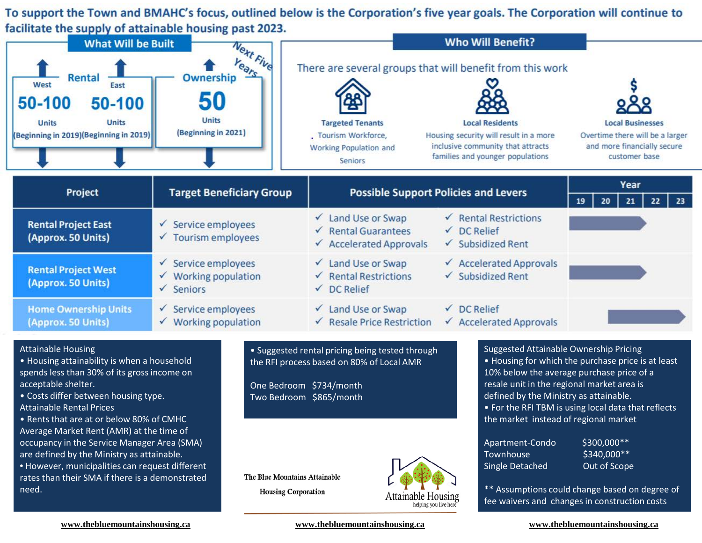To support the Town and BMAHC's focus, outlined below is the Corporation's five year goals. The Corporation will continue to facilitate the supply of attainable housing past 2023.



## Attainable Housing

• Housing attainability is when a household spends less than 30% of its gross income on acceptable shelter.

• Costs differ between housing type. Attainable Rental Prices

• Rents that are at or below 80% of CMHC Average Market Rent (AMR) at the time of occupancy in the Service Manager Area (SMA) are defined by the Ministry as attainable. • However, municipalities can request different

rates than their SMA if there is a demonstrated need.

• Suggested rental pricing being tested through the RFI process based on 80% of Local AMR

One Bedroom \$734/month Two Bedroom \$865/month

The Blue Mountains Attainable **Housing Corporation** 



Suggested Attainable Ownership Pricing • Housing for which the purchase price is at least 10% below the average purchase price of a resale unit in the regional market area is defined by the Ministry as attainable. • For the RFI TBM is using local data that reflects the market instead of regional market

| Apartment-Condo        |  |
|------------------------|--|
| Townhouse              |  |
| <b>Single Detached</b> |  |

\$300,000\*\*  $$340.000**$$ Out of Scope

\*\* Assumptions could change based on degree of fee waivers and changes in construction costs

**SETTING GOALS-MEASURING [www.thebluemountainshousing.ca](http://www.thebluemountains/) [www.thebluemountainshousing.ca](http://www.thebluemountains/) [www.thebluemountainshousing.ca](http://www.thebluemountains/)**

**COMMUNITY**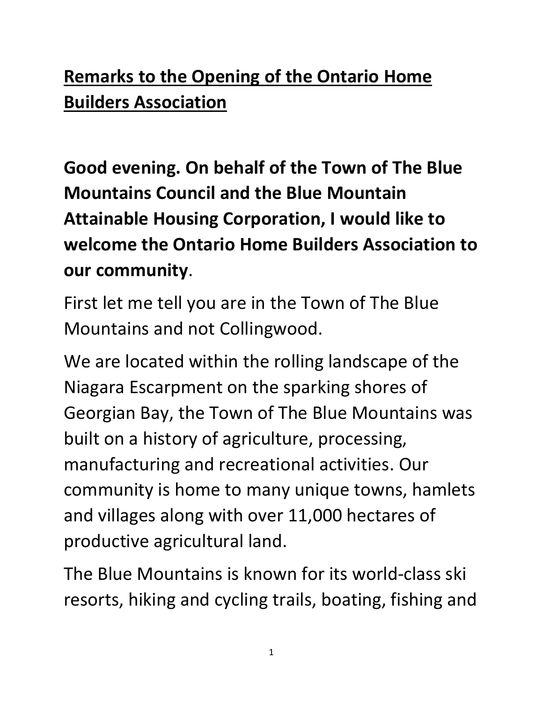## **Remarks to the Opening of the Ontario Home Builders Association**

**Good evening. On behalf of the Town of The Blue Mountains Council and the Blue Mountain Attainable Housing Corporation, I would like to welcome the Ontario Home Builders Association to our community**.

First let me tell you are in the Town of The Blue Mountains and not Collingwood.

We are located within the rolling landscape of the Niagara Escarpment on the sparking shores of Georgian Bay, the Town of The Blue Mountains was built on a history of agriculture, processing, manufacturing and recreational activities. Our community is home to many unique towns, hamlets and villages along with over 11,000 hectares of productive agricultural land.

The Blue Mountains is known for its world-class ski resorts, hiking and cycling trails, boating, fishing and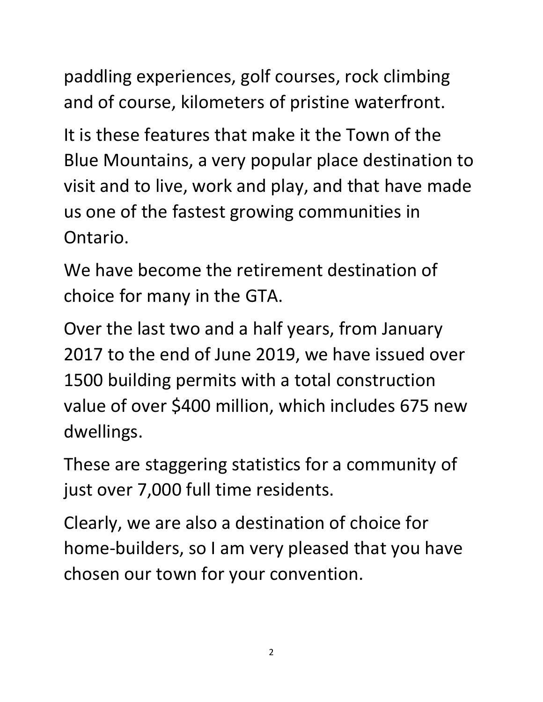paddling experiences, golf courses, rock climbing and of course, kilometers of pristine waterfront.

It is these features that make it the Town of the Blue Mountains, a very popular place destination to visit and to live, work and play, and that have made us one of the fastest growing communities in Ontario.

We have become the retirement destination of choice for many in the GTA.

Over the last two and a half years, from January 2017 to the end of June 2019, we have issued over 1500 building permits with a total construction value of over \$400 million, which includes 675 new dwellings.

These are staggering statistics for a community of just over 7,000 full time residents.

Clearly, we are also a destination of choice for home-builders, so I am very pleased that you have chosen our town for your convention.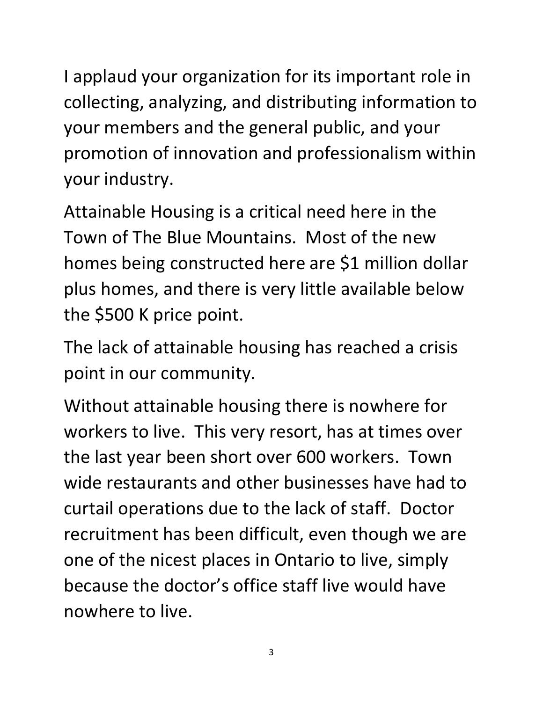I applaud your organization for its important role in collecting, analyzing, and distributing information to your members and the general public, and your promotion of innovation and professionalism within your industry.

Attainable Housing is a critical need here in the Town of The Blue Mountains. Most of the new homes being constructed here are \$1 million dollar plus homes, and there is very little available below the \$500 K price point.

The lack of attainable housing has reached a crisis point in our community.

Without attainable housing there is nowhere for workers to live. This very resort, has at times over the last year been short over 600 workers. Town wide restaurants and other businesses have had to curtail operations due to the lack of staff. Doctor recruitment has been difficult, even though we are one of the nicest places in Ontario to live, simply because the doctor's office staff live would have nowhere to live.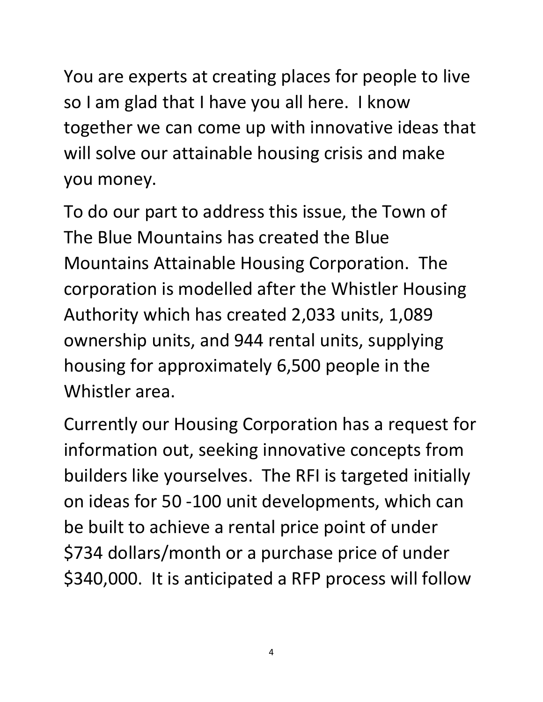You are experts at creating places for people to live so I am glad that I have you all here. I know together we can come up with innovative ideas that will solve our attainable housing crisis and make you money.

To do our part to address this issue, the Town of The Blue Mountains has created the Blue Mountains Attainable Housing Corporation. The corporation is modelled after the Whistler Housing Authority which has created 2,033 units, 1,089 ownership units, and 944 rental units, supplying housing for approximately 6,500 people in the Whistler area.

Currently our Housing Corporation has a request for information out, seeking innovative concepts from builders like yourselves. The RFI is targeted initially on ideas for 50 -100 unit developments, which can be built to achieve a rental price point of under \$734 dollars/month or a purchase price of under \$340,000. It is anticipated a RFP process will follow